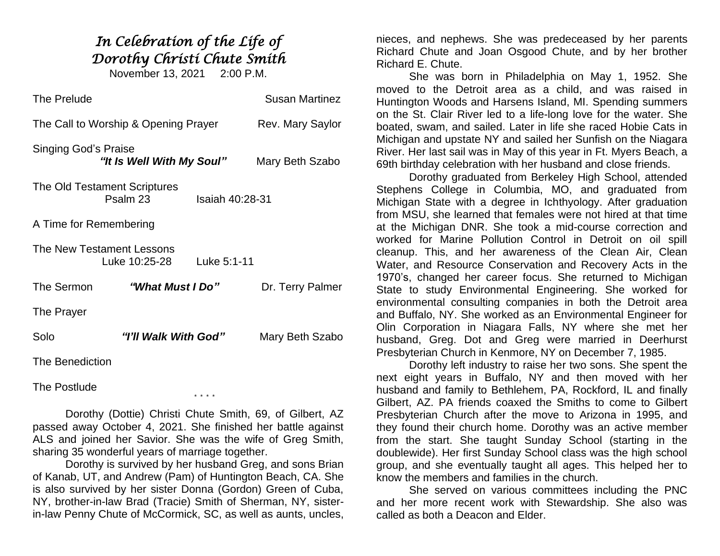## *In Celebration of the Life of Dorothy Christi Chute Smith*

November 13, 2021 2:00 P.M.

| The Prelude                          |                                            |                 | <b>Susan Martinez</b> |
|--------------------------------------|--------------------------------------------|-----------------|-----------------------|
| The Call to Worship & Opening Prayer |                                            |                 | Rev. Mary Saylor      |
| Singing God's Praise                 | "It Is Well With My Soul"                  |                 | Mary Beth Szabo       |
|                                      | The Old Testament Scriptures<br>Psalm 23   | Isaiah 40:28-31 |                       |
| A Time for Remembering               |                                            |                 |                       |
|                                      | The New Testament Lessons<br>Luke 10:25-28 | Luke 5:1-11     |                       |
| The Sermon                           | "What Must I Do"                           |                 | Dr. Terry Palmer      |
| The Prayer                           |                                            |                 |                       |
| Solo                                 | "I'll Walk With God"                       |                 | Mary Beth Szabo       |
| The Benediction                      |                                            |                 |                       |

The Postlude

Dorothy (Dottie) Christi Chute Smith, 69, of Gilbert, AZ passed away October 4, 2021. She finished her battle against ALS and joined her Savior. She was the wife of Greg Smith, sharing 35 wonderful years of marriage together.

\* \* \* \*

Dorothy is survived by her husband Greg, and sons Brian of Kanab, UT, and Andrew (Pam) of Huntington Beach, CA. She is also survived by her sister Donna (Gordon) Green of Cuba, NY, brother-in-law Brad (Tracie) Smith of Sherman, NY, sisterin-law Penny Chute of McCormick, SC, as well as aunts, uncles,

nieces, and nephews. She was predeceased by her parents Richard Chute and Joan Osgood Chute, and by her brother Richard E. Chute.

She was born in Philadelphia on May 1, 1952. She moved to the Detroit area as a child, and was raised in Huntington Woods and Harsens Island, MI. Spending summers on the St. Clair River led to a life-long love for the water. She boated, swam, and sailed. Later in life she raced Hobie Cats in Michigan and upstate NY and sailed her Sunfish on the Niagara River. Her last sail was in May of this year in Ft. Myers Beach, a 69th birthday celebration with her husband and close friends.

Dorothy graduated from Berkeley High School, attended Stephens College in Columbia, MO, and graduated from Michigan State with a degree in Ichthyology. After graduation from MSU, she learned that females were not hired at that time at the Michigan DNR. She took a mid-course correction and worked for Marine Pollution Control in Detroit on oil spill cleanup. This, and her awareness of the Clean Air, Clean Water, and Resource Conservation and Recovery Acts in the 1970's, changed her career focus. She returned to Michigan State to study Environmental Engineering. She worked for environmental consulting companies in both the Detroit area and Buffalo, NY. She worked as an Environmental Engineer for Olin Corporation in Niagara Falls, NY where she met her husband, Greg. Dot and Greg were married in Deerhurst Presbyterian Church in Kenmore, NY on December 7, 1985.

Dorothy left industry to raise her two sons. She spent the next eight years in Buffalo, NY and then moved with her husband and family to Bethlehem, PA, Rockford, IL and finally Gilbert, AZ. PA friends coaxed the Smiths to come to Gilbert Presbyterian Church after the move to Arizona in 1995, and they found their church home. Dorothy was an active member from the start. She taught Sunday School (starting in the doublewide). Her first Sunday School class was the high school group, and she eventually taught all ages. This helped her to know the members and families in the church.

She served on various committees including the PNC and her more recent work with Stewardship. She also was called as both a Deacon and Elder.